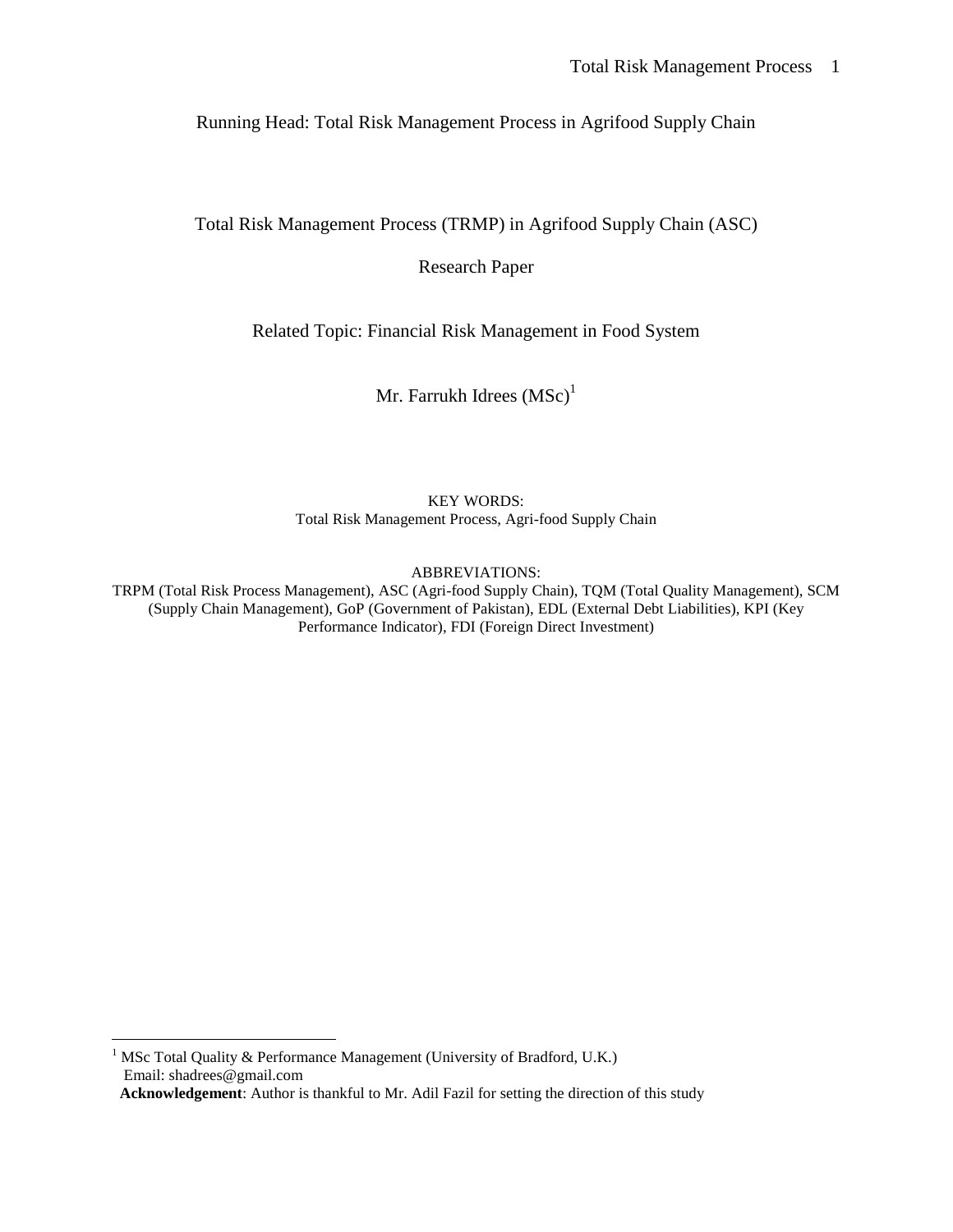Running Head: Total Risk Management Process in Agrifood Supply Chain

Total Risk Management Process (TRMP) in Agrifood Supply Chain (ASC)

Research Paper

Related Topic: Financial Risk Management in Food System

Mr. Farrukh Idrees  $(MSc)^1$ 

KEY WORDS: Total Risk Management Process, Agri-food Supply Chain

ABBREVIATIONS:

TRPM (Total Risk Process Management), ASC (Agri-food Supply Chain), TQM (Total Quality Management), SCM (Supply Chain Management), GoP (Government of Pakistan), EDL (External Debt Liabilities), KPI (Key Performance Indicator), FDI (Foreign Direct Investment)

<u>.</u>

<sup>&</sup>lt;sup>1</sup> MSc Total Quality & Performance Management (University of Bradford, U.K.) Email: shadrees@gmail.com  **Acknowledgement**: Author is thankful to Mr. Adil Fazil for setting the direction of this study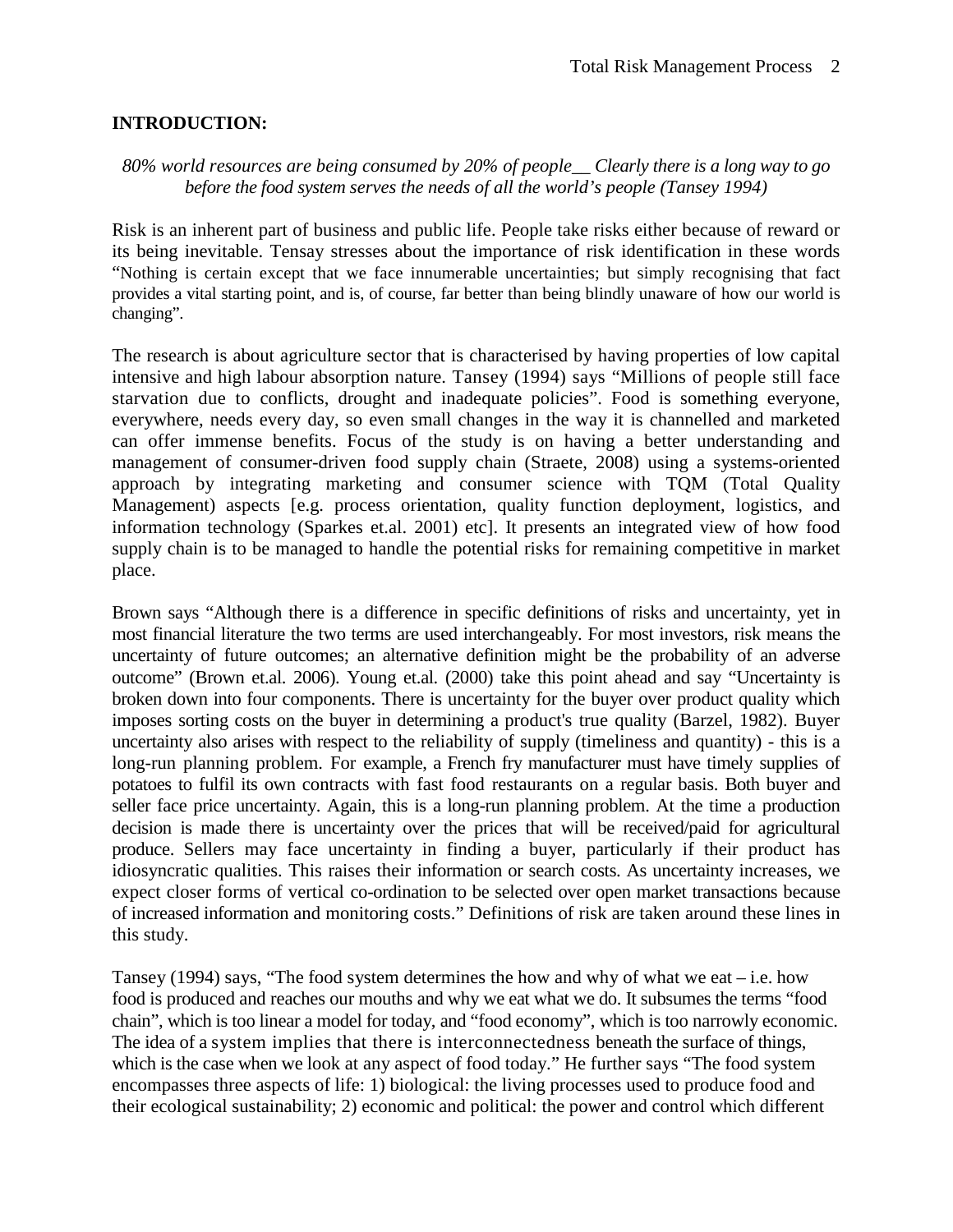# **INTRODUCTION:**

# *80% world resources are being consumed by 20% of people\_\_ Clearly there is a long way to go before the food system serves the needs of all the world's people (Tansey 1994)*

Risk is an inherent part of business and public life. People take risks either because of reward or its being inevitable. Tensay stresses about the importance of risk identification in these words "Nothing is certain except that we face innumerable uncertainties; but simply recognising that fact provides a vital starting point, and is, of course, far better than being blindly unaware of how our world is changing".

The research is about agriculture sector that is characterised by having properties of low capital intensive and high labour absorption nature. Tansey (1994) says "Millions of people still face starvation due to conflicts, drought and inadequate policies". Food is something everyone, everywhere, needs every day, so even small changes in the way it is channelled and marketed can offer immense benefits. Focus of the study is on having a better understanding and management of consumer-driven food supply chain (Straete, 2008) using a systems-oriented approach by integrating marketing and consumer science with TQM (Total Quality Management) aspects [e.g. process orientation, quality function deployment, logistics, and information technology (Sparkes et.al. 2001) etc]. It presents an integrated view of how food supply chain is to be managed to handle the potential risks for remaining competitive in market place.

Brown says "Although there is a difference in specific definitions of risks and uncertainty, yet in most financial literature the two terms are used interchangeably. For most investors, risk means the uncertainty of future outcomes; an alternative definition might be the probability of an adverse outcome" (Brown et.al. 2006). Young et.al. (2000) take this point ahead and say "Uncertainty is broken down into four components. There is uncertainty for the buyer over product quality which imposes sorting costs on the buyer in determining a product's true quality (Barzel, 1982). Buyer uncertainty also arises with respect to the reliability of supply (timeliness and quantity) - this is a long-run planning problem. For example, a French fry manufacturer must have timely supplies of potatoes to fulfil its own contracts with fast food restaurants on a regular basis. Both buyer and seller face price uncertainty. Again, this is a long-run planning problem. At the time a production decision is made there is uncertainty over the prices that will be received/paid for agricultural produce. Sellers may face uncertainty in finding a buyer, particularly if their product has idiosyncratic qualities. This raises their information or search costs. As uncertainty increases, we expect closer forms of vertical co-ordination to be selected over open market transactions because of increased information and monitoring costs." Definitions of risk are taken around these lines in this study.

Tansey (1994) says, "The food system determines the how and why of what we eat – i.e. how food is produced and reaches our mouths and why we eat what we do. It subsumes the terms "food chain", which is too linear a model for today, and "food economy", which is too narrowly economic. The idea of a system implies that there is interconnectedness beneath the surface of things, which is the case when we look at any aspect of food today." He further says "The food system" encompasses three aspects of life: 1) biological: the living processes used to produce food and their ecological sustainability; 2) economic and political: the power and control which different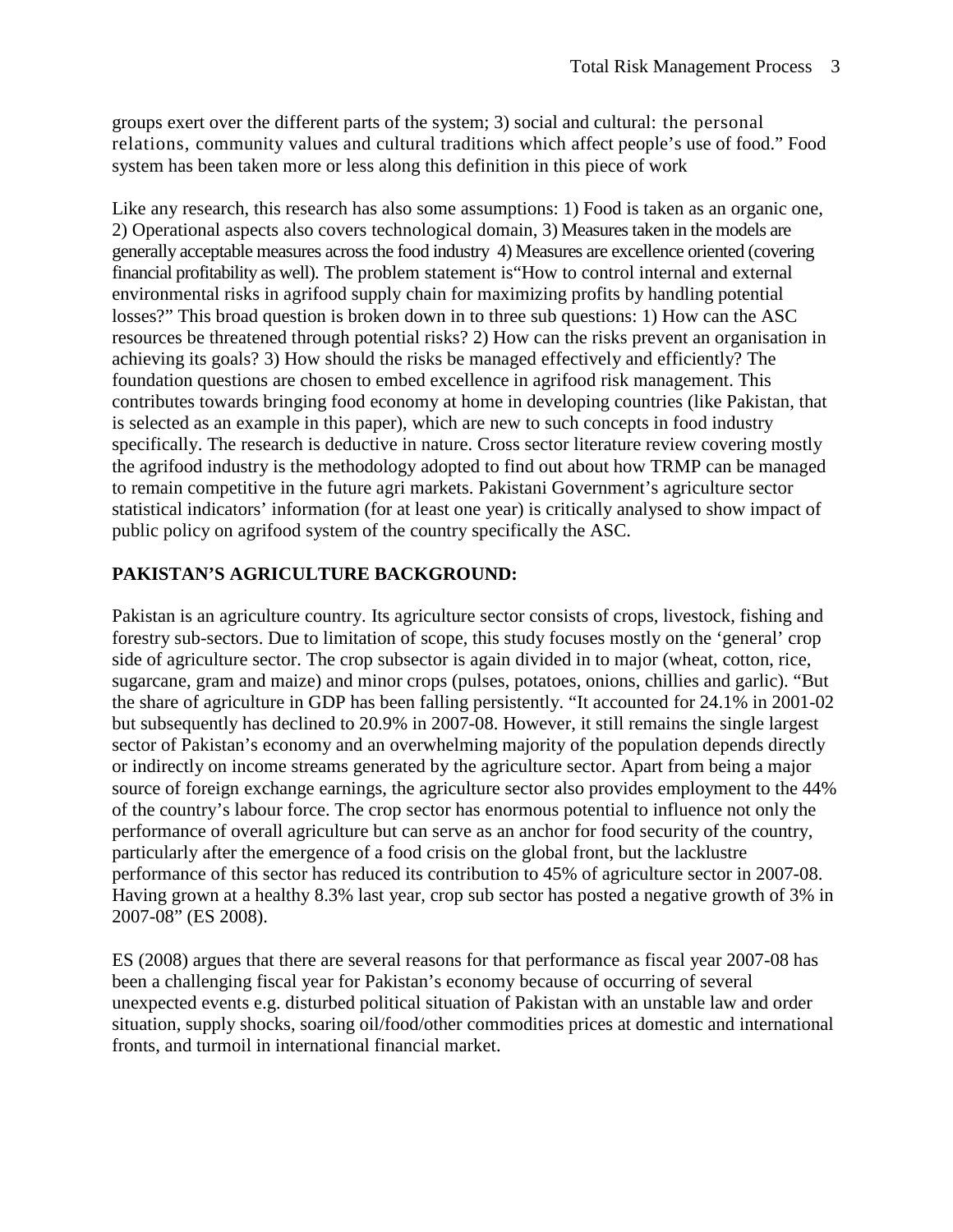groups exert over the different parts of the system; 3) social and cultural: the personal relations, community values and cultural traditions which affect people's use of food." Food system has been taken more or less along this definition in this piece of work

Like any research, this research has also some assumptions: 1) Food is taken as an organic one, 2) Operational aspects also covers technological domain, 3) Measures taken in the models are generally acceptable measures across the food industry 4) Measures are excellence oriented (covering financial profitability as well). The problem statement is"How to control internal and external environmental risks in agrifood supply chain for maximizing profits by handling potential losses?" This broad question is broken down in to three sub questions: 1) How can the ASC resources be threatened through potential risks? 2) How can the risks prevent an organisation in achieving its goals? 3) How should the risks be managed effectively and efficiently? The foundation questions are chosen to embed excellence in agrifood risk management. This contributes towards bringing food economy at home in developing countries (like Pakistan, that is selected as an example in this paper), which are new to such concepts in food industry specifically. The research is deductive in nature. Cross sector literature review covering mostly the agrifood industry is the methodology adopted to find out about how TRMP can be managed to remain competitive in the future agri markets. Pakistani Government's agriculture sector statistical indicators' information (for at least one year) is critically analysed to show impact of public policy on agrifood system of the country specifically the ASC.

# **PAKISTAN'S AGRICULTURE BACKGROUND:**

Pakistan is an agriculture country. Its agriculture sector consists of crops, livestock, fishing and forestry sub-sectors. Due to limitation of scope, this study focuses mostly on the 'general' crop side of agriculture sector. The crop subsector is again divided in to major (wheat, cotton, rice, sugarcane, gram and maize) and minor crops (pulses, potatoes, onions, chillies and garlic). "But the share of agriculture in GDP has been falling persistently. "It accounted for 24.1% in 2001-02 but subsequently has declined to 20.9% in 2007-08. However, it still remains the single largest sector of Pakistan's economy and an overwhelming majority of the population depends directly or indirectly on income streams generated by the agriculture sector. Apart from being a major source of foreign exchange earnings, the agriculture sector also provides employment to the 44% of the country's labour force. The crop sector has enormous potential to influence not only the performance of overall agriculture but can serve as an anchor for food security of the country, particularly after the emergence of a food crisis on the global front, but the lacklustre performance of this sector has reduced its contribution to 45% of agriculture sector in 2007-08. Having grown at a healthy 8.3% last year, crop sub sector has posted a negative growth of 3% in 2007-08" (ES 2008).

ES (2008) argues that there are several reasons for that performance as fiscal year 2007-08 has been a challenging fiscal year for Pakistan's economy because of occurring of several unexpected events e.g. disturbed political situation of Pakistan with an unstable law and order situation, supply shocks, soaring oil/food/other commodities prices at domestic and international fronts, and turmoil in international financial market.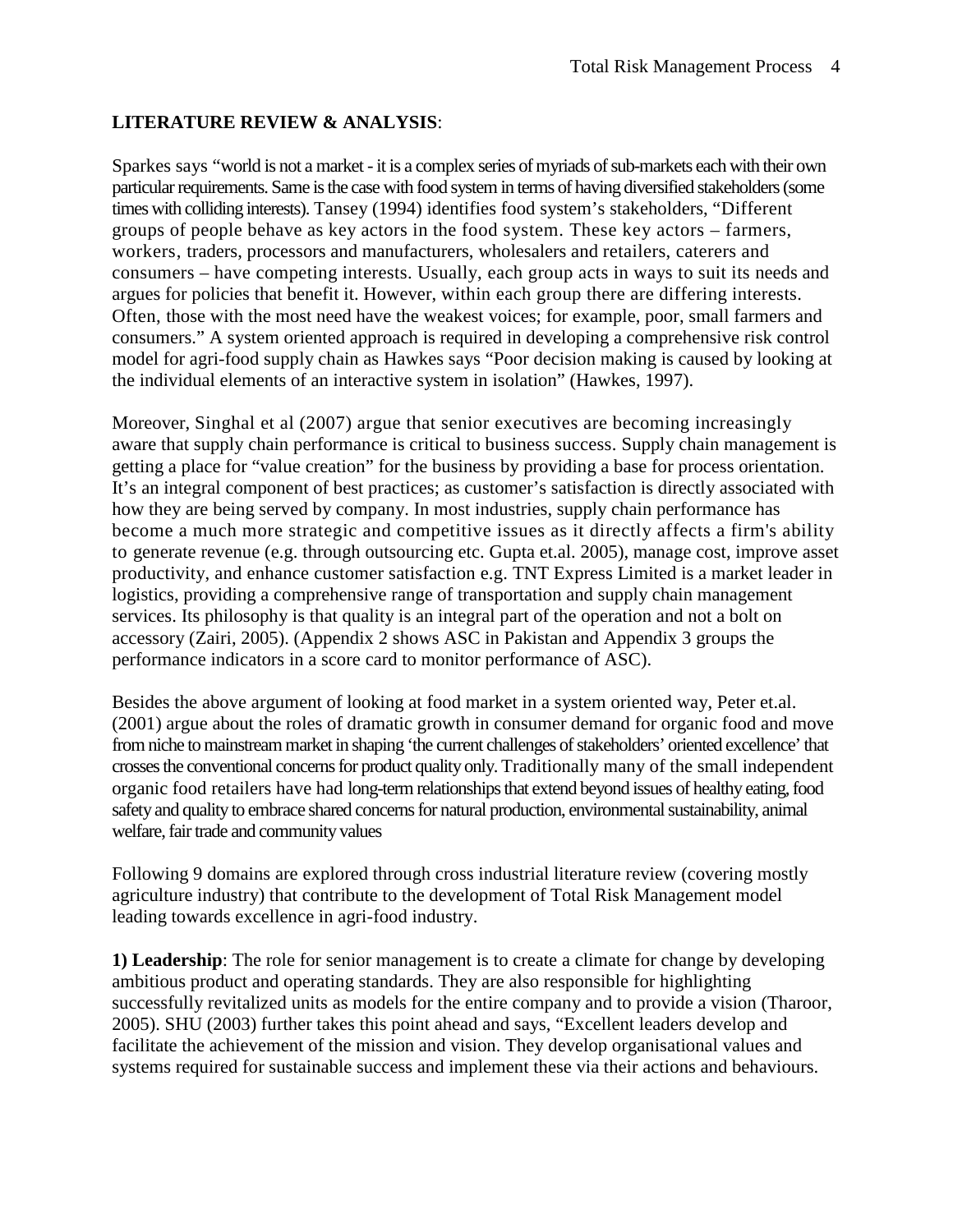# **LITERATURE REVIEW & ANALYSIS**:

Sparkes says "world is not a market - it is a complex series of myriads of sub-markets each with their own particular requirements. Same is the case with food system in terms of having diversified stakeholders (some times with colliding interests). Tansey (1994) identifies food system's stakeholders, "Different groups of people behave as key actors in the food system. These key actors – farmers, workers, traders, processors and manufacturers, wholesalers and retailers, caterers and consumers – have competing interests. Usually, each group acts in ways to suit its needs and argues for policies that benefit it. However, within each group there are differing interests. Often, those with the most need have the weakest voices; for example, poor, small farmers and consumers." A system oriented approach is required in developing a comprehensive risk control model for agri-food supply chain as Hawkes says "Poor decision making is caused by looking at the individual elements of an interactive system in isolation" (Hawkes, 1997).

Moreover, Singhal et al (2007) argue that senior executives are becoming increasingly aware that supply chain performance is critical to business success. Supply chain management is getting a place for "value creation" for the business by providing a base for process orientation. It's an integral component of best practices; as customer's satisfaction is directly associated with how they are being served by company. In most industries, supply chain performance has become a much more strategic and competitive issues as it directly affects a firm's ability to generate revenue (e.g. through outsourcing etc. Gupta et.al. 2005), manage cost, improve asset productivity, and enhance customer satisfaction e.g. TNT Express Limited is a market leader in logistics, providing a comprehensive range of transportation and supply chain management services. Its philosophy is that quality is an integral part of the operation and not a bolt on accessory (Zairi, 2005). (Appendix 2 shows ASC in Pakistan and Appendix 3 groups the performance indicators in a score card to monitor performance of ASC).

Besides the above argument of looking at food market in a system oriented way, Peter et.al. (2001) argue about the roles of dramatic growth in consumer demand for organic food and move from niche to mainstream market in shaping 'the current challenges of stakeholders' oriented excellence' that crosses the conventional concerns for product quality only. Traditionally many of the small independent organic food retailers have had long-term relationships that extend beyond issues of healthy eating, food safety and quality to embrace shared concerns for natural production, environmental sustainability, animal welfare, fair trade and community values

Following 9 domains are explored through cross industrial literature review (covering mostly agriculture industry) that contribute to the development of Total Risk Management model leading towards excellence in agri-food industry.

**1) Leadership**: The role for senior management is to create a climate for change by developing ambitious product and operating standards. They are also responsible for highlighting successfully revitalized units as models for the entire company and to provide a vision (Tharoor, 2005). SHU (2003) further takes this point ahead and says, "Excellent leaders develop and facilitate the achievement of the mission and vision. They develop organisational values and systems required for sustainable success and implement these via their actions and behaviours.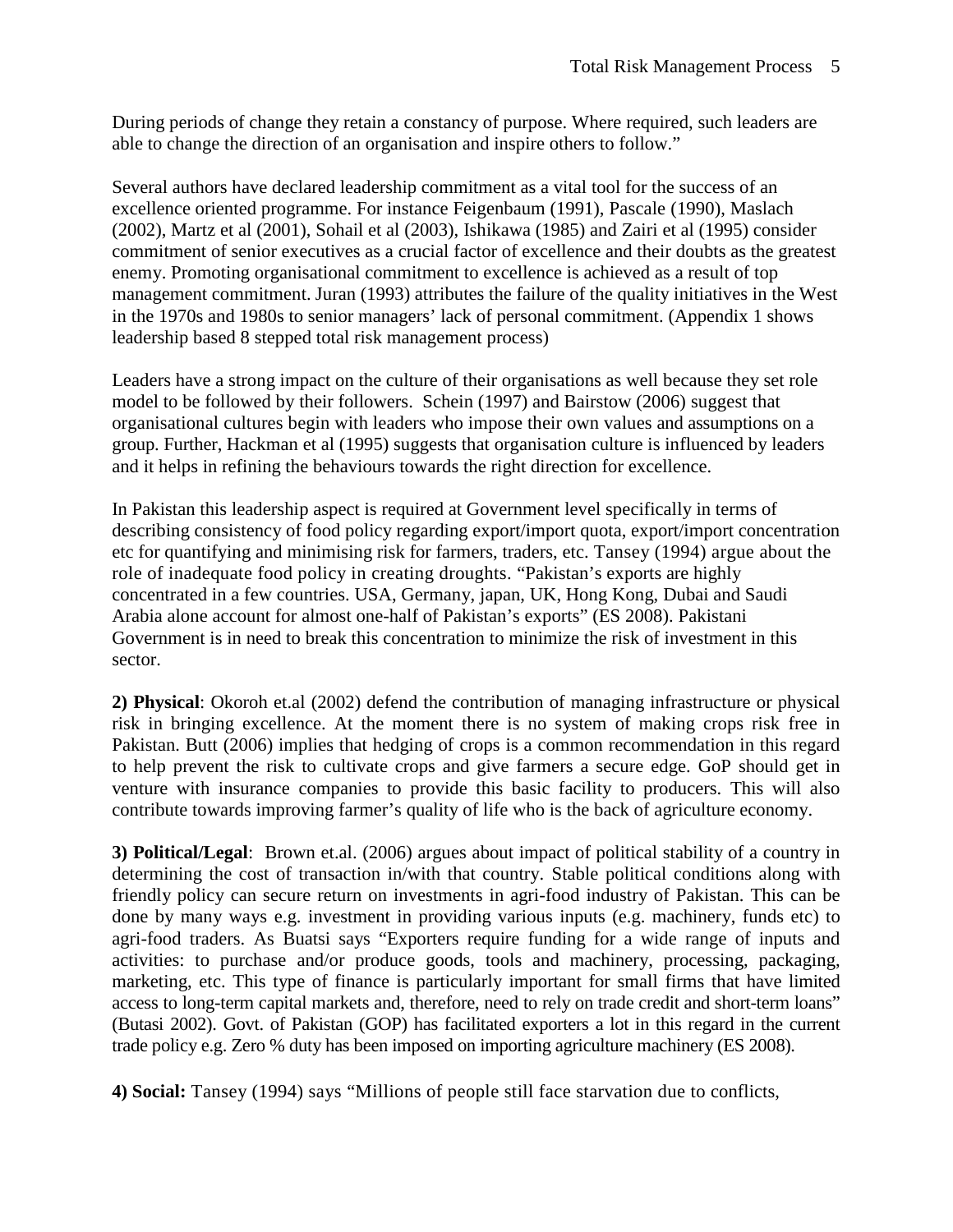During periods of change they retain a constancy of purpose. Where required, such leaders are able to change the direction of an organisation and inspire others to follow."

Several authors have declared leadership commitment as a vital tool for the success of an excellence oriented programme. For instance Feigenbaum (1991), Pascale (1990), Maslach (2002), Martz et al (2001), Sohail et al (2003), Ishikawa (1985) and Zairi et al (1995) consider commitment of senior executives as a crucial factor of excellence and their doubts as the greatest enemy. Promoting organisational commitment to excellence is achieved as a result of top management commitment. Juran (1993) attributes the failure of the quality initiatives in the West in the 1970s and 1980s to senior managers' lack of personal commitment. (Appendix 1 shows leadership based 8 stepped total risk management process)

Leaders have a strong impact on the culture of their organisations as well because they set role model to be followed by their followers. Schein (1997) and Bairstow (2006) suggest that organisational cultures begin with leaders who impose their own values and assumptions on a group. Further, Hackman et al (1995) suggests that organisation culture is influenced by leaders and it helps in refining the behaviours towards the right direction for excellence.

In Pakistan this leadership aspect is required at Government level specifically in terms of describing consistency of food policy regarding export/import quota, export/import concentration etc for quantifying and minimising risk for farmers, traders, etc. Tansey (1994) argue about the role of inadequate food policy in creating droughts. "Pakistan's exports are highly concentrated in a few countries. USA, Germany, japan, UK, Hong Kong, Dubai and Saudi Arabia alone account for almost one-half of Pakistan's exports" (ES 2008). Pakistani Government is in need to break this concentration to minimize the risk of investment in this sector.

**2) Physical**: Okoroh et.al (2002) defend the contribution of managing infrastructure or physical risk in bringing excellence. At the moment there is no system of making crops risk free in Pakistan. Butt (2006) implies that hedging of crops is a common recommendation in this regard to help prevent the risk to cultivate crops and give farmers a secure edge. GoP should get in venture with insurance companies to provide this basic facility to producers. This will also contribute towards improving farmer's quality of life who is the back of agriculture economy.

**3) Political/Legal**: Brown et.al. (2006) argues about impact of political stability of a country in determining the cost of transaction in/with that country. Stable political conditions along with friendly policy can secure return on investments in agri-food industry of Pakistan. This can be done by many ways e.g. investment in providing various inputs (e.g. machinery, funds etc) to agri-food traders. As Buatsi says "Exporters require funding for a wide range of inputs and activities: to purchase and/or produce goods, tools and machinery, processing, packaging, marketing, etc. This type of finance is particularly important for small firms that have limited access to long-term capital markets and, therefore, need to rely on trade credit and short-term loans" (Butasi 2002). Govt. of Pakistan (GOP) has facilitated exporters a lot in this regard in the current trade policy e.g. Zero % duty has been imposed on importing agriculture machinery (ES 2008).

**4) Social:** Tansey (1994) says "Millions of people still face starvation due to conflicts,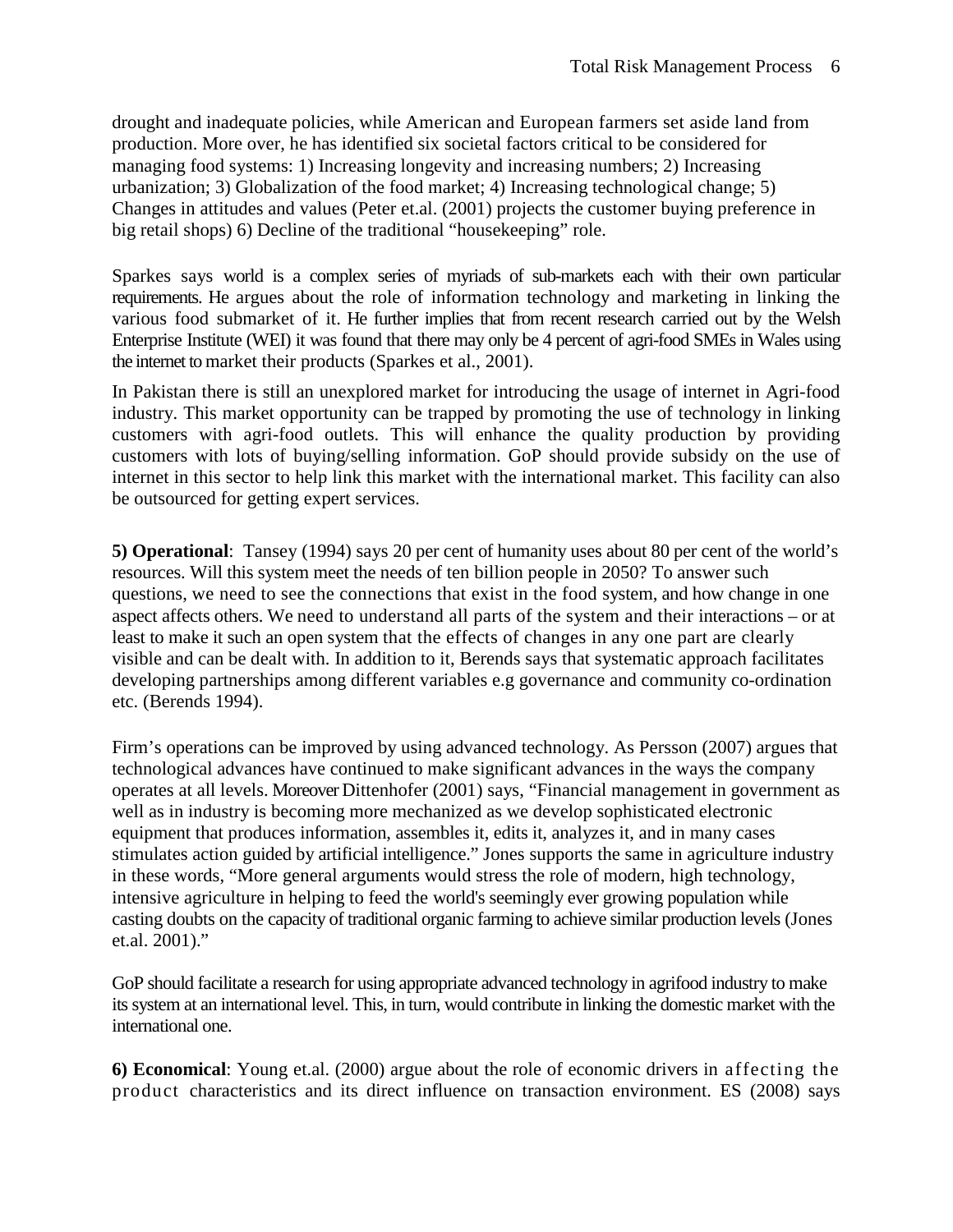drought and inadequate policies, while American and European farmers set aside land from production. More over, he has identified six societal factors critical to be considered for managing food systems: 1) Increasing longevity and increasing numbers; 2) Increasing urbanization; 3) Globalization of the food market; 4) Increasing technological change; 5) Changes in attitudes and values (Peter et.al. (2001) projects the customer buying preference in big retail shops) 6) Decline of the traditional "housekeeping" role.

Sparkes says world is a complex series of myriads of sub-markets each with their own particular requirements. He argues about the role of information technology and marketing in linking the various food submarket of it. He further implies that from recent research carried out by the Welsh Enterprise Institute (WEI) it was found that there may only be 4 percent of agri-food SMEs in Wales using the internet to market their products (Sparkes et al., 2001).

In Pakistan there is still an unexplored market for introducing the usage of internet in Agri-food industry. This market opportunity can be trapped by promoting the use of technology in linking customers with agri-food outlets. This will enhance the quality production by providing customers with lots of buying/selling information. GoP should provide subsidy on the use of internet in this sector to help link this market with the international market. This facility can also be outsourced for getting expert services.

**5) Operational**: Tansey (1994) says 20 per cent of humanity uses about 80 per cent of the world's resources. Will this system meet the needs of ten billion people in 2050? To answer such questions, we need to see the connections that exist in the food system, and how change in one aspect affects others. We need to understand all parts of the system and their interactions – or at least to make it such an open system that the effects of changes in any one part are clearly visible and can be dealt with. In addition to it, Berends says that systematic approach facilitates developing partnerships among different variables e.g governance and community co-ordination etc. (Berends 1994).

Firm's operations can be improved by using advanced technology. As Persson (2007) argues that technological advances have continued to make significant advances in the ways the company operates at all levels. Moreover Dittenhofer (2001) says, "Financial management in government as well as in industry is becoming more mechanized as we develop sophisticated electronic equipment that produces information, assembles it, edits it, analyzes it, and in many cases stimulates action guided by artificial intelligence." Jones supports the same in agriculture industry in these words, "More general arguments would stress the role of modern, high technology, intensive agriculture in helping to feed the world's seemingly ever growing population while casting doubts on the capacity of traditional organic farming to achieve similar production levels (Jones et.al. 2001)."

GoP should facilitate a research for using appropriate advanced technology in agrifood industry to make its system at an international level. This, in turn, would contribute in linking the domestic market with the international one.

**6) Economical**: Young et.al. (2000) argue about the role of economic drivers in affecting the product characteristics and its direct influence on transaction environment. ES (2008) says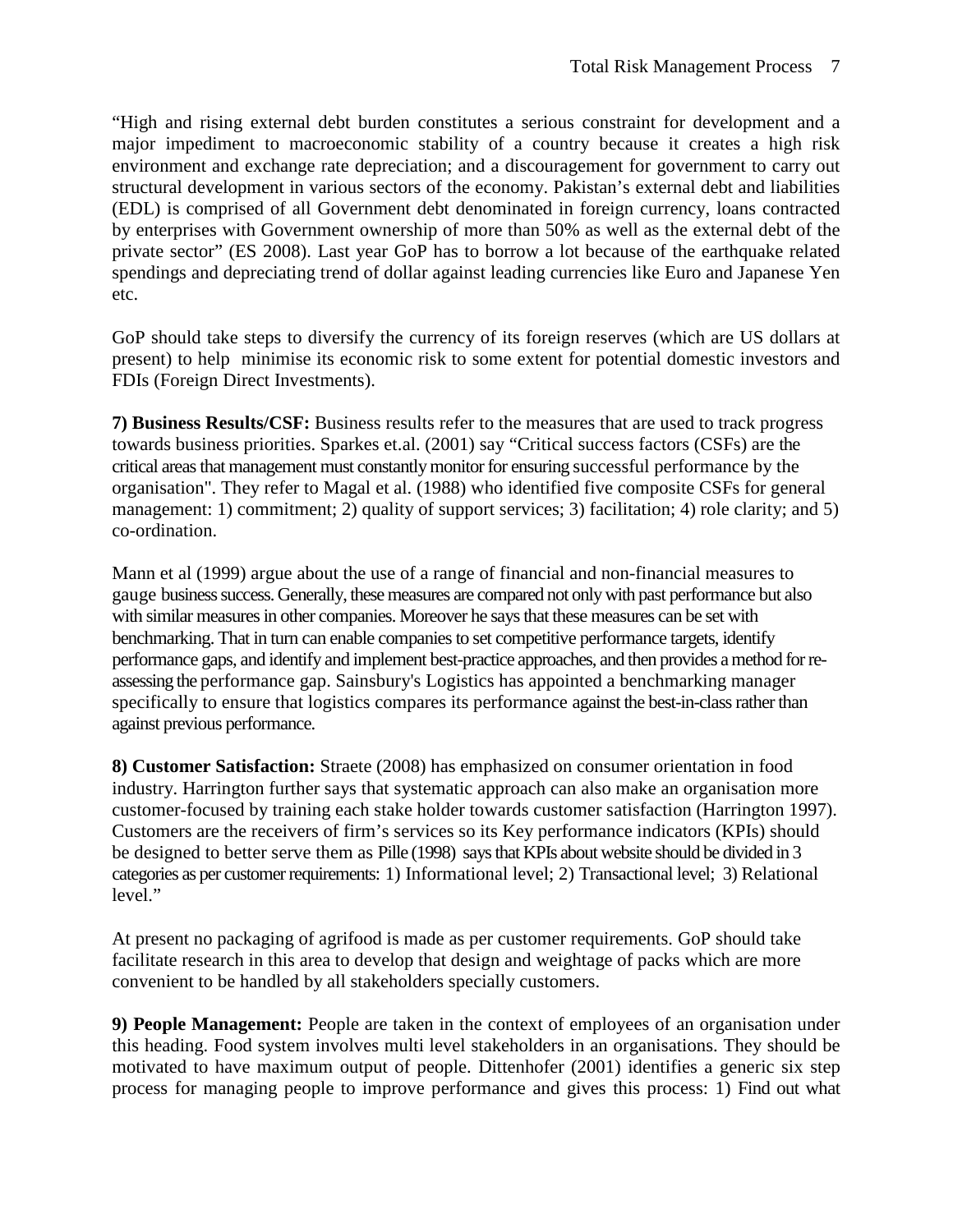"High and rising external debt burden constitutes a serious constraint for development and a major impediment to macroeconomic stability of a country because it creates a high risk environment and exchange rate depreciation; and a discouragement for government to carry out structural development in various sectors of the economy. Pakistan's external debt and liabilities (EDL) is comprised of all Government debt denominated in foreign currency, loans contracted by enterprises with Government ownership of more than 50% as well as the external debt of the private sector" (ES 2008). Last year GoP has to borrow a lot because of the earthquake related spendings and depreciating trend of dollar against leading currencies like Euro and Japanese Yen etc.

GoP should take steps to diversify the currency of its foreign reserves (which are US dollars at present) to help minimise its economic risk to some extent for potential domestic investors and FDIs (Foreign Direct Investments).

**7) Business Results/CSF:** Business results refer to the measures that are used to track progress towards business priorities. Sparkes et.al. (2001) say "Critical success factors (CSFs) are the critical areas that management must constantly monitor for ensuring successful performance by the organisation". They refer to Magal et al. (1988) who identified five composite CSFs for general management: 1) commitment; 2) quality of support services; 3) facilitation; 4) role clarity; and 5) co-ordination.

Mann et al (1999) argue about the use of a range of financial and non-financial measures to gauge business success. Generally, these measures are compared not only with past performance but also with similar measures in other companies. Moreover he says that these measures can be set with benchmarking. That in turn can enable companies to set competitive performance targets, identify performance gaps, and identify and implement best-practice approaches, and then provides a method for reassessing the performance gap. Sainsbury's Logistics has appointed a benchmarking manager specifically to ensure that logistics compares its performance against the best-in-class rather than against previous performance.

**8) Customer Satisfaction:** Straete (2008) has emphasized on consumer orientation in food industry. Harrington further says that systematic approach can also make an organisation more customer-focused by training each stake holder towards customer satisfaction (Harrington 1997). Customers are the receivers of firm's services so its Key performance indicators (KPIs) should be designed to better serve them as Pille (1998) says that KPIs about website should be divided in 3 categories as per customer requirements: 1) Informational level; 2) Transactional level; 3) Relational level."

At present no packaging of agrifood is made as per customer requirements. GoP should take facilitate research in this area to develop that design and weightage of packs which are more convenient to be handled by all stakeholders specially customers.

**9) People Management:** People are taken in the context of employees of an organisation under this heading. Food system involves multi level stakeholders in an organisations. They should be motivated to have maximum output of people. Dittenhofer (2001) identifies a generic six step process for managing people to improve performance and gives this process: 1) Find out what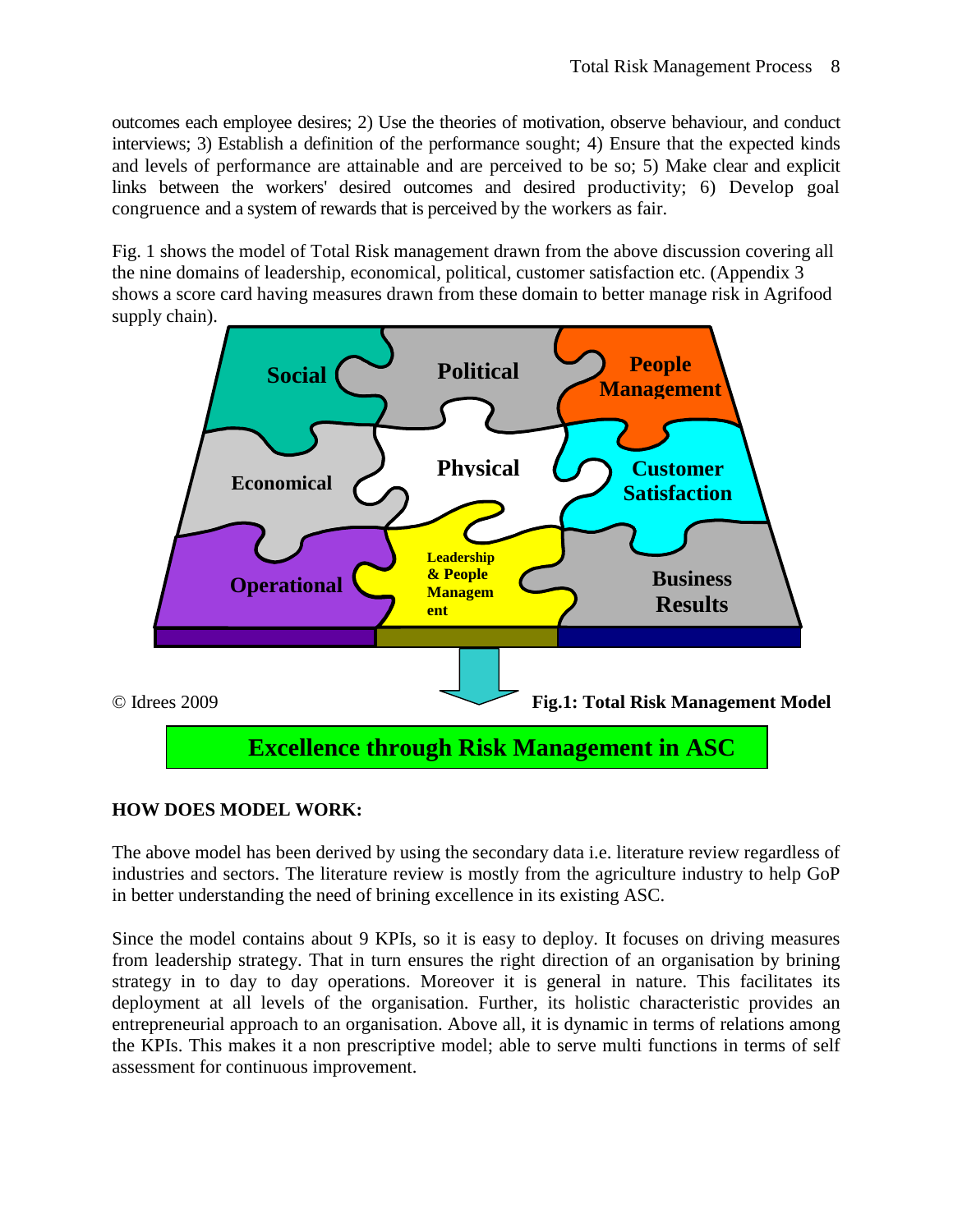outcomes each employee desires; 2) Use the theories of motivation, observe behaviour, and conduct interviews; 3) Establish a definition of the performance sought; 4) Ensure that the expected kinds and levels of performance are attainable and are perceived to be so; 5) Make clear and explicit links between the workers' desired outcomes and desired productivity; 6) Develop goal congruence and a system of rewards that is perceived by the workers as fair.

Fig. 1 shows the model of Total Risk management drawn from the above discussion covering all the nine domains of leadership, economical, political, customer satisfaction etc. (Appendix 3 shows a score card having measures drawn from these domain to better manage risk in Agrifood supply chain).



#### **HOW DOES MODEL WORK:**

The above model has been derived by using the secondary data i.e. literature review regardless of industries and sectors. The literature review is mostly from the agriculture industry to help GoP in better understanding the need of brining excellence in its existing ASC.

Since the model contains about 9 KPIs, so it is easy to deploy. It focuses on driving measures from leadership strategy. That in turn ensures the right direction of an organisation by brining strategy in to day to day operations. Moreover it is general in nature. This facilitates its deployment at all levels of the organisation. Further, its holistic characteristic provides an entrepreneurial approach to an organisation. Above all, it is dynamic in terms of relations among the KPIs. This makes it a non prescriptive model; able to serve multi functions in terms of self assessment for continuous improvement.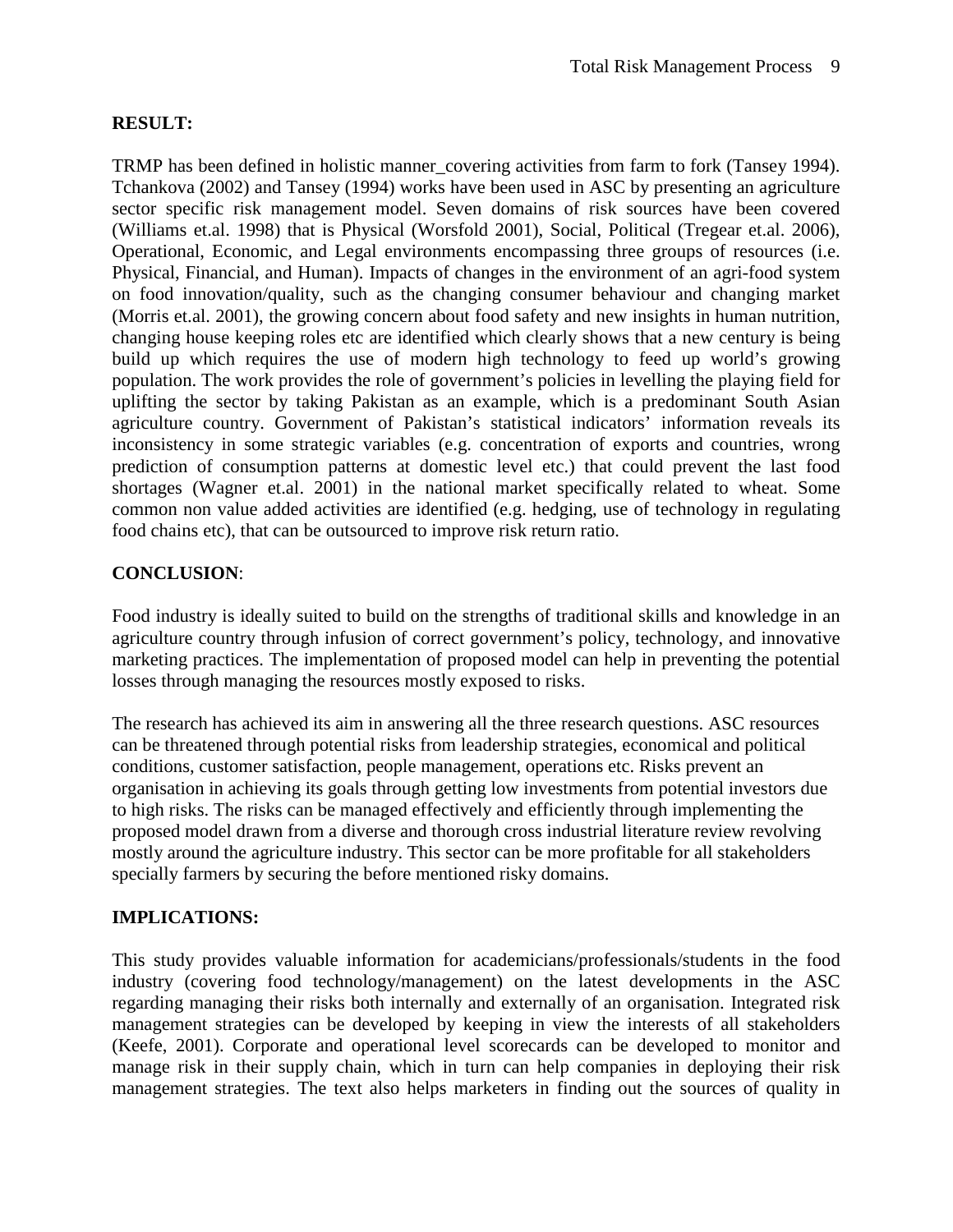# **RESULT:**

TRMP has been defined in holistic manner covering activities from farm to fork (Tansey 1994). Tchankova (2002) and Tansey (1994) works have been used in ASC by presenting an agriculture sector specific risk management model. Seven domains of risk sources have been covered (Williams et.al. 1998) that is Physical (Worsfold 2001), Social, Political (Tregear et.al. 2006), Operational, Economic, and Legal environments encompassing three groups of resources (i.e. Physical, Financial, and Human). Impacts of changes in the environment of an agri-food system on food innovation/quality, such as the changing consumer behaviour and changing market (Morris et.al. 2001), the growing concern about food safety and new insights in human nutrition, changing house keeping roles etc are identified which clearly shows that a new century is being build up which requires the use of modern high technology to feed up world's growing population. The work provides the role of government's policies in levelling the playing field for uplifting the sector by taking Pakistan as an example, which is a predominant South Asian agriculture country. Government of Pakistan's statistical indicators' information reveals its inconsistency in some strategic variables (e.g. concentration of exports and countries, wrong prediction of consumption patterns at domestic level etc.) that could prevent the last food shortages (Wagner et.al. 2001) in the national market specifically related to wheat. Some common non value added activities are identified (e.g. hedging, use of technology in regulating food chains etc), that can be outsourced to improve risk return ratio.

# **CONCLUSION**:

Food industry is ideally suited to build on the strengths of traditional skills and knowledge in an agriculture country through infusion of correct government's policy, technology, and innovative marketing practices. The implementation of proposed model can help in preventing the potential losses through managing the resources mostly exposed to risks.

The research has achieved its aim in answering all the three research questions. ASC resources can be threatened through potential risks from leadership strategies, economical and political conditions, customer satisfaction, people management, operations etc. Risks prevent an organisation in achieving its goals through getting low investments from potential investors due to high risks. The risks can be managed effectively and efficiently through implementing the proposed model drawn from a diverse and thorough cross industrial literature review revolving mostly around the agriculture industry. This sector can be more profitable for all stakeholders specially farmers by securing the before mentioned risky domains.

#### **IMPLICATIONS:**

This study provides valuable information for academicians/professionals/students in the food industry (covering food technology/management) on the latest developments in the ASC regarding managing their risks both internally and externally of an organisation. Integrated risk management strategies can be developed by keeping in view the interests of all stakeholders (Keefe, 2001). Corporate and operational level scorecards can be developed to monitor and manage risk in their supply chain, which in turn can help companies in deploying their risk management strategies. The text also helps marketers in finding out the sources of quality in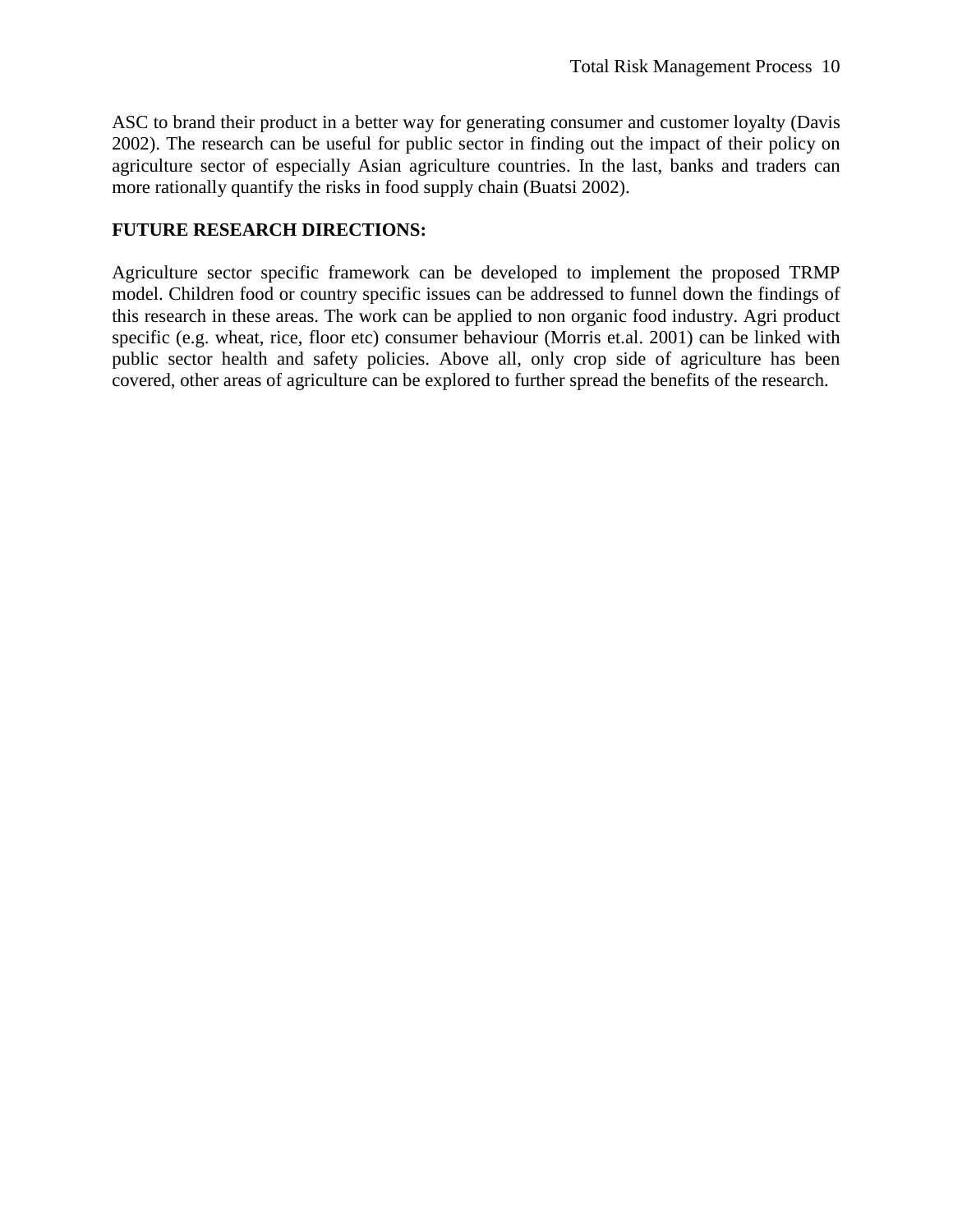ASC to brand their product in a better way for generating consumer and customer loyalty (Davis 2002). The research can be useful for public sector in finding out the impact of their policy on agriculture sector of especially Asian agriculture countries. In the last, banks and traders can more rationally quantify the risks in food supply chain (Buatsi 2002).

#### **FUTURE RESEARCH DIRECTIONS:**

Agriculture sector specific framework can be developed to implement the proposed TRMP model. Children food or country specific issues can be addressed to funnel down the findings of this research in these areas. The work can be applied to non organic food industry. Agri product specific (e.g. wheat, rice, floor etc) consumer behaviour (Morris et.al. 2001) can be linked with public sector health and safety policies. Above all, only crop side of agriculture has been covered, other areas of agriculture can be explored to further spread the benefits of the research.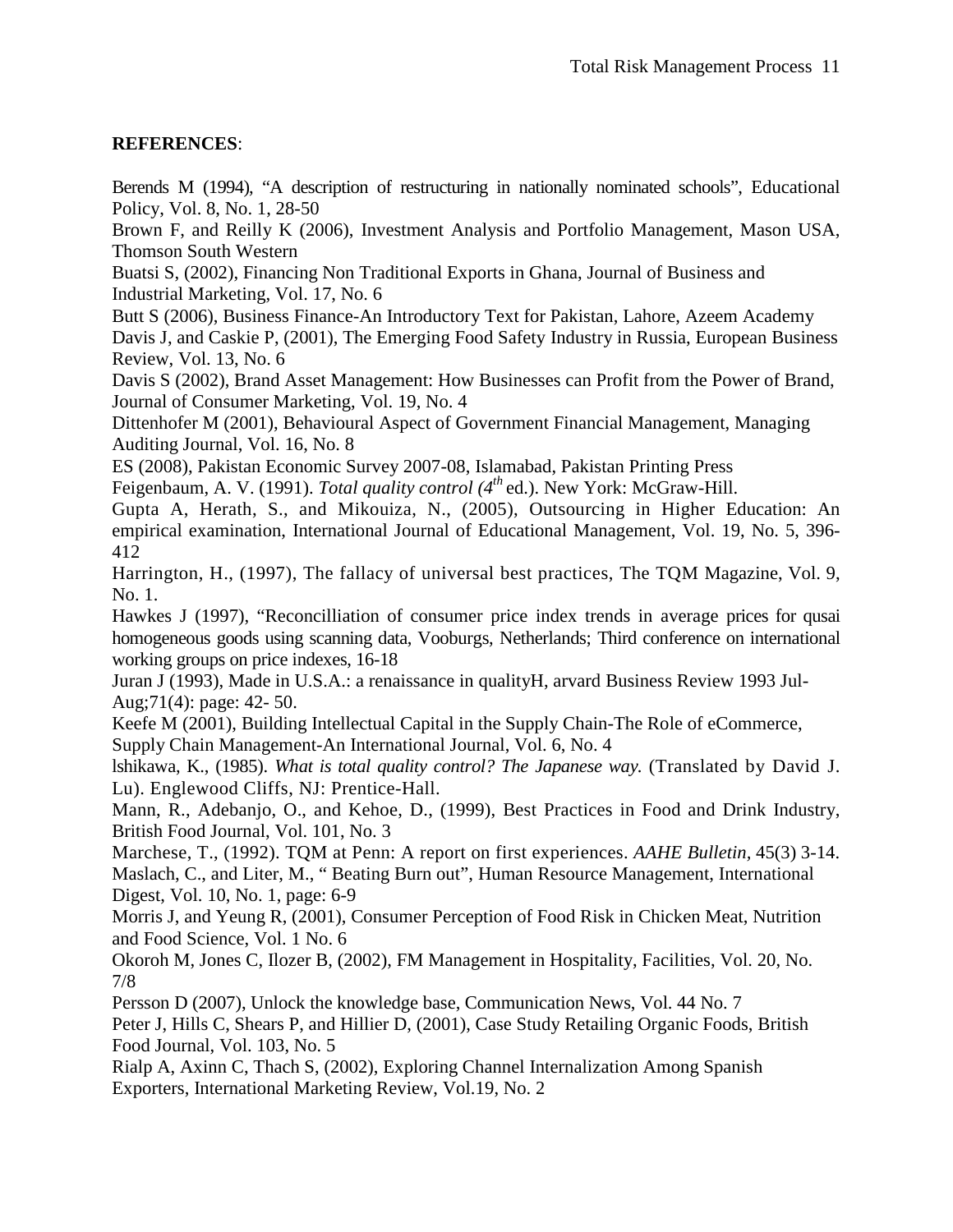# **REFERENCES**:

Berends M (1994), "A description of restructuring in nationally nominated schools", Educational Policy, Vol. 8, No. 1, 28-50

Brown F, and Reilly K (2006), Investment Analysis and Portfolio Management, Mason USA, Thomson South Western

Buatsi S, (2002), Financing Non Traditional Exports in Ghana, Journal of Business and Industrial Marketing, Vol. 17, No. 6

Butt S (2006), Business Finance-An Introductory Text for Pakistan, Lahore, Azeem Academy Davis J, and Caskie P, (2001), The Emerging Food Safety Industry in Russia, European Business Review, Vol. 13, No. 6

Davis S (2002), Brand Asset Management: How Businesses can Profit from the Power of Brand, Journal of Consumer Marketing, Vol. 19, No. 4

Dittenhofer M (2001), Behavioural Aspect of Government Financial Management, Managing Auditing Journal, Vol. 16, No. 8

ES (2008), Pakistan Economic Survey 2007-08, Islamabad, Pakistan Printing Press

Feigenbaum, A. V. (1991). *Total quality control (4th* ed.). New York: McGraw-Hill.

Gupta A, Herath, S., and Mikouiza, N., (2005), Outsourcing in Higher Education: An empirical examination, International Journal of Educational Management, Vol. 19, No. 5, 396- 412

Harrington, H., (1997), The fallacy of universal best practices, The TQM Magazine, Vol. 9, No. 1.

Hawkes J (1997), "Reconcilliation of consumer price index trends in average prices for qusai homogeneous goods using scanning data, Vooburgs, Netherlands; Third conference on international working groups on price indexes, 16-18

Juran J (1993), Made in U.S.A.: a renaissance in qualityH, arvard Business Review 1993 Jul-Aug;71(4): page: 42- 50.

Keefe M (2001), Building Intellectual Capital in the Supply Chain-The Role of eCommerce, Supply Chain Management-An International Journal, Vol. 6, No. 4

lshikawa, K., (1985). *What is total quality control? The Japanese way.* (Translated by David J. Lu). Englewood Cliffs, NJ: Prentice-Hall.

Mann, R., Adebanjo, O., and Kehoe, D., (1999), Best Practices in Food and Drink Industry, British Food Journal, Vol. 101, No. 3

Marchese, T., (1992). TQM at Penn: A report on first experiences. *AAHE Bulletin,* 45(3) 3-14. Maslach, C., and Liter, M., " Beating Burn out", Human Resource Management, International Digest, Vol. 10, No. 1, page: 6-9

Morris J, and Yeung R, (2001), Consumer Perception of Food Risk in Chicken Meat, Nutrition and Food Science, Vol. 1 No. 6

Okoroh M, Jones C, Ilozer B, (2002), FM Management in Hospitality, Facilities, Vol. 20, No. 7/8

Persson D (2007), Unlock the knowledge base, Communication News, Vol. 44 No. 7

Peter J, Hills C, Shears P, and Hillier D, (2001), Case Study Retailing Organic Foods, British Food Journal, Vol. 103, No. 5

Rialp A, Axinn C, Thach S, (2002), Exploring Channel Internalization Among Spanish Exporters, International Marketing Review, Vol.19, No. 2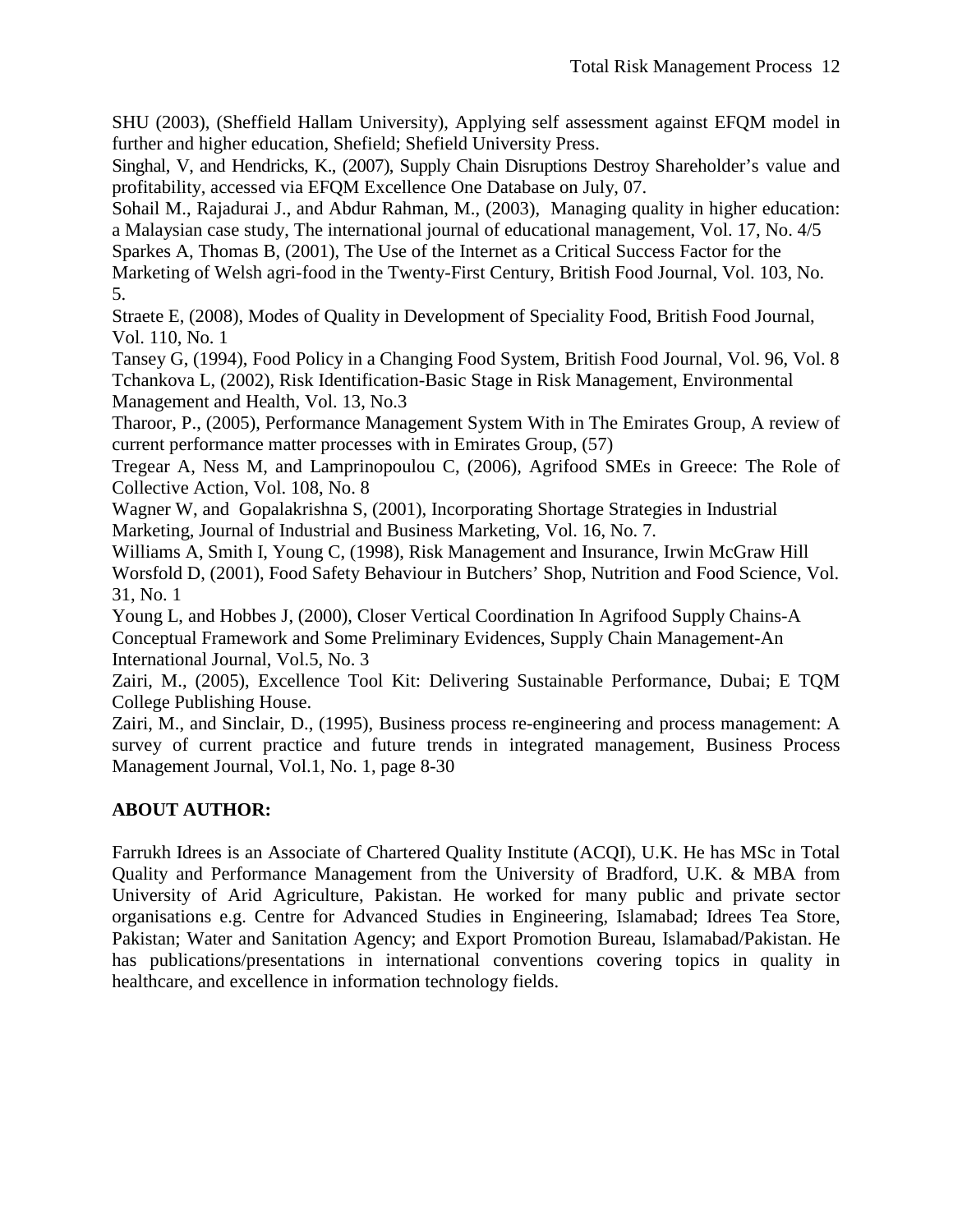SHU (2003), (Sheffield Hallam University), Applying self assessment against EFQM model in further and higher education, Shefield; Shefield University Press.

Singhal, V, and Hendricks, K., (2007), Supply Chain Disruptions Destroy Shareholder's value and profitability, accessed via EFQM Excellence One Database on July, 07.

Sohail M., Rajadurai J., and Abdur Rahman, M., (2003), Managing quality in higher education: a Malaysian case study, The international journal of educational management, Vol. 17, No. 4/5

Sparkes A, Thomas B, (2001), The Use of the Internet as a Critical Success Factor for the

Marketing of Welsh agri-food in the Twenty-First Century, British Food Journal, Vol. 103, No. 5.

Straete E, (2008), Modes of Quality in Development of Speciality Food, British Food Journal, Vol. 110, No. 1

Tansey G, (1994), Food Policy in a Changing Food System, British Food Journal, Vol. 96, Vol. 8 Tchankova L, (2002), Risk Identification-Basic Stage in Risk Management, Environmental Management and Health, Vol. 13, No.3

Tharoor, P., (2005), Performance Management System With in The Emirates Group, A review of current performance matter processes with in Emirates Group, (57)

Tregear A, Ness M, and Lamprinopoulou C, (2006), Agrifood SMEs in Greece: The Role of Collective Action, Vol. 108, No. 8

Wagner W, and Gopalakrishna S, (2001), Incorporating Shortage Strategies in Industrial Marketing, Journal of Industrial and Business Marketing, Vol. 16, No. 7.

Williams A, Smith I, Young C, (1998), Risk Management and Insurance, Irwin McGraw Hill Worsfold D, (2001), Food Safety Behaviour in Butchers' Shop, Nutrition and Food Science, Vol. 31, No. 1

Young L, and Hobbes J, (2000), Closer Vertical Coordination In Agrifood Supply Chains-A Conceptual Framework and Some Preliminary Evidences, Supply Chain Management-An International Journal, Vol.5, No. 3

Zairi, M., (2005), Excellence Tool Kit: Delivering Sustainable Performance, Dubai; E TQM College Publishing House.

Zairi, M., and Sinclair, D., (1995), Business process re-engineering and process management: A survey of current practice and future trends in integrated management, Business Process Management Journal, Vol.1, No. 1, page 8-30

# **ABOUT AUTHOR:**

Farrukh Idrees is an Associate of Chartered Quality Institute (ACQI), U.K. He has MSc in Total Quality and Performance Management from the University of Bradford, U.K. & MBA from University of Arid Agriculture, Pakistan. He worked for many public and private sector organisations e.g. Centre for Advanced Studies in Engineering, Islamabad; Idrees Tea Store, Pakistan; Water and Sanitation Agency; and Export Promotion Bureau, Islamabad/Pakistan. He has publications/presentations in international conventions covering topics in quality in healthcare, and excellence in information technology fields.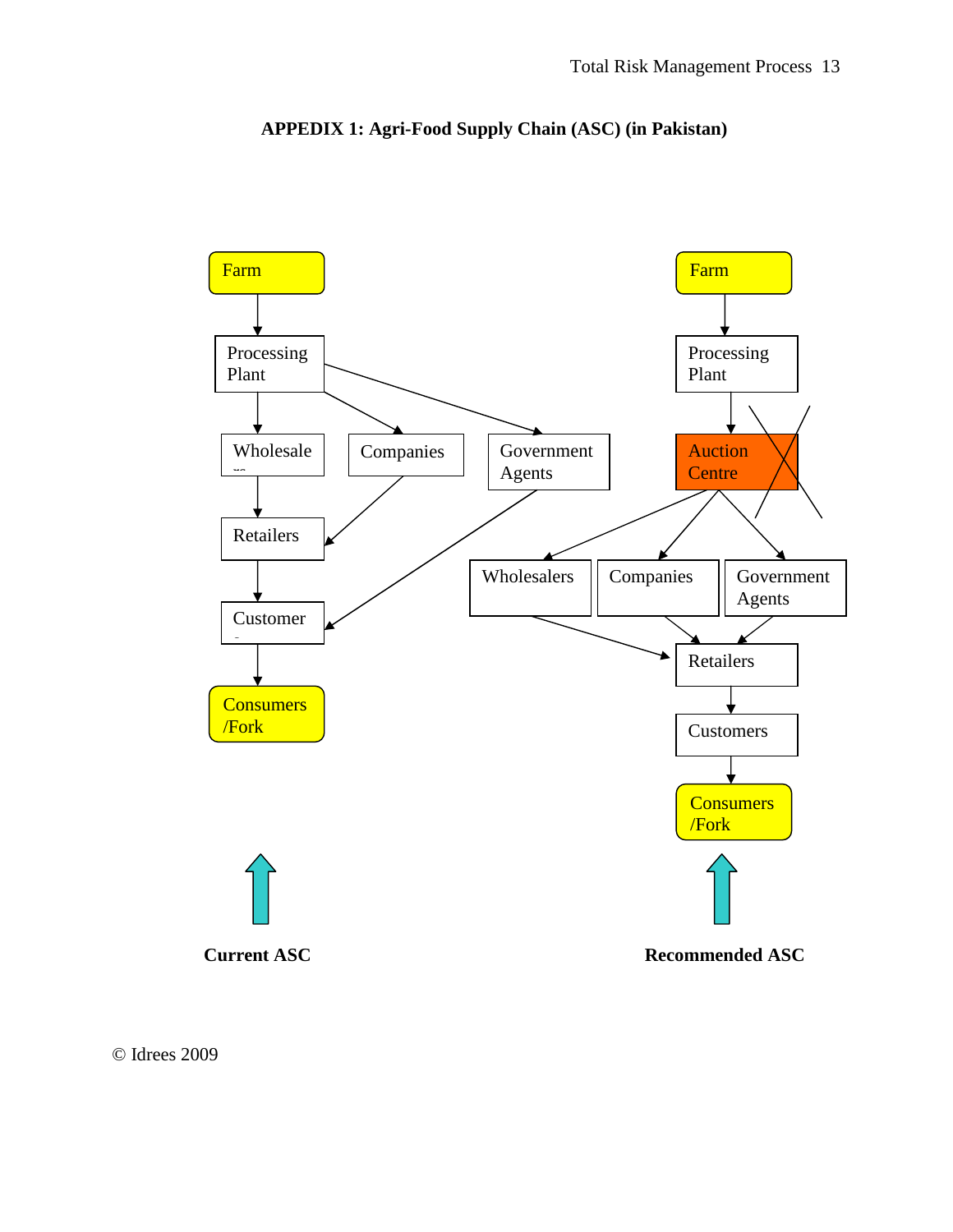



© Idrees 2009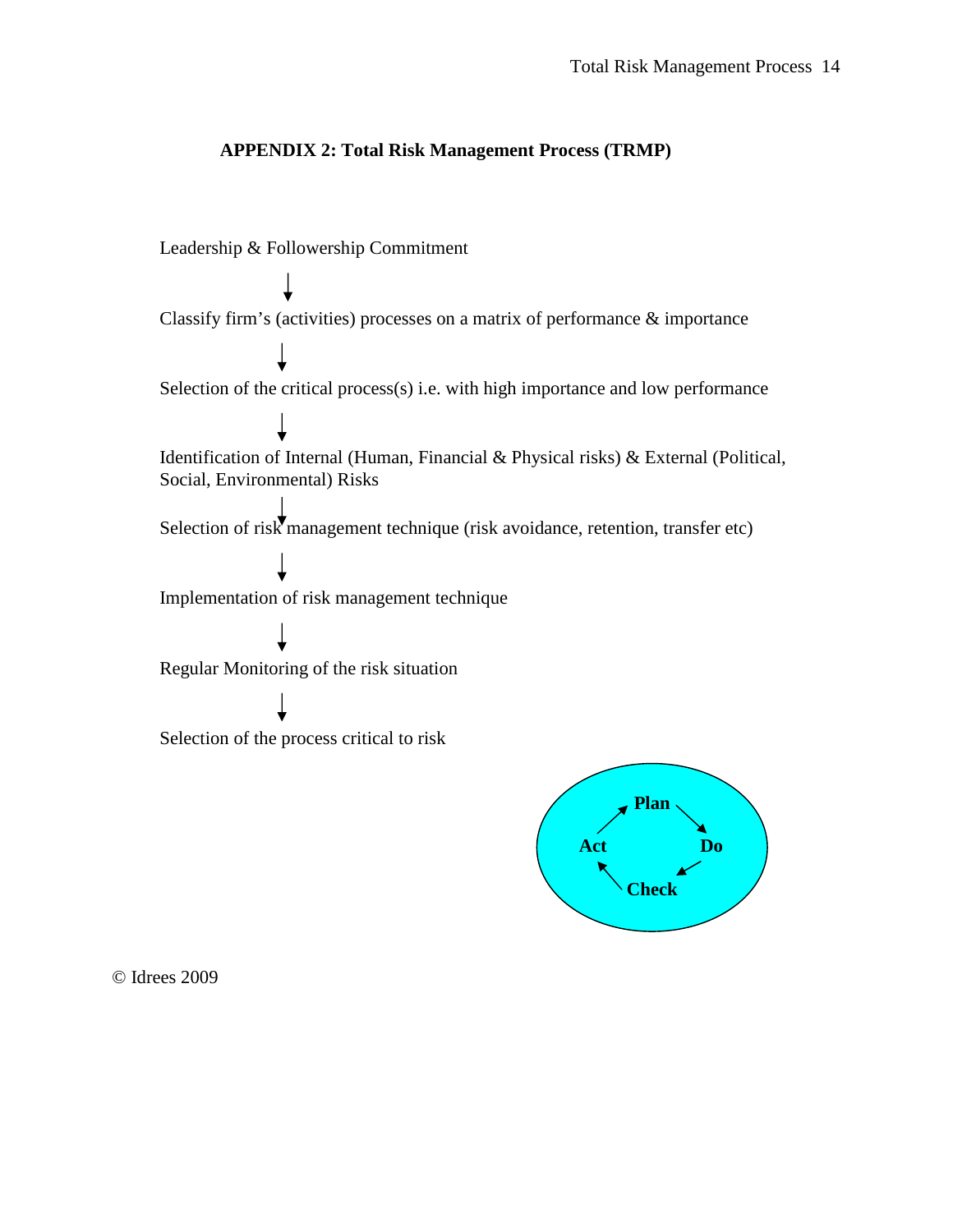#### **APPENDIX 2: Total Risk Management Process (TRMP)**

Leadership & Followership Commitment

Regular Monitoring of the risk situation Selection of the critical process(s) i.e. with high importance and low performance Identification of Internal (Human, Financial & Physical risks) & External (Political, Social, Environmental) Risks Selection of the process critical to risk Selection of risk management technique (risk avoidance, retention, transfer etc) Classify firm's (activities) processes on a matrix of performance & importance Implementation of risk management technique



© Idrees 2009